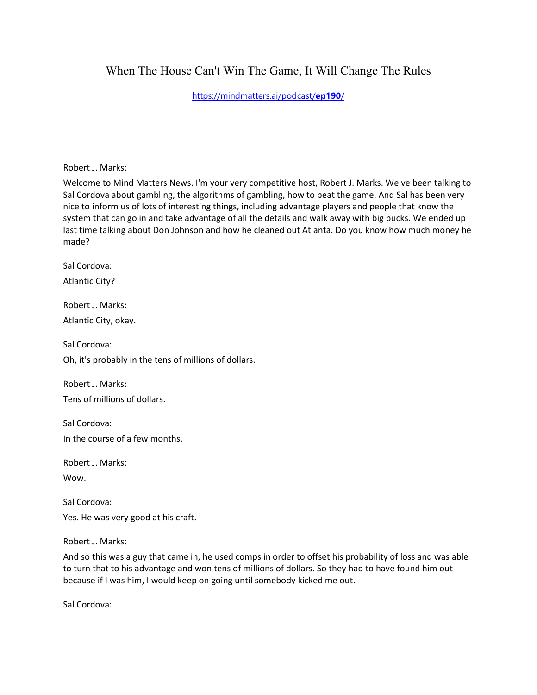# When The House Can't Win The Game, It Will Change The Rules

[https://mindmatters.ai/podcast/](https://mindmatters.ai/podcast/ep190/)**ep190**/

Robert J. Marks:

Welcome to Mind Matters News. I'm your very competitive host, Robert J. Marks. We've been talking to Sal Cordova about gambling, the algorithms of gambling, how to beat the game. And Sal has been very nice to inform us of lots of interesting things, including advantage players and people that know the system that can go in and take advantage of all the details and walk away with big bucks. We ended up last time talking about Don Johnson and how he cleaned out Atlanta. Do you know how much money he made?

Sal Cordova:

Atlantic City?

Robert J. Marks: Atlantic City, okay.

Sal Cordova:

Oh, it's probably in the tens of millions of dollars.

Robert J. Marks: Tens of millions of dollars.

Sal Cordova: In the course of a few months.

Robert J. Marks:

Wow.

Sal Cordova: Yes. He was very good at his craft.

Robert J. Marks:

And so this was a guy that came in, he used comps in order to offset his probability of loss and was able to turn that to his advantage and won tens of millions of dollars. So they had to have found him out because if I was him, I would keep on going until somebody kicked me out.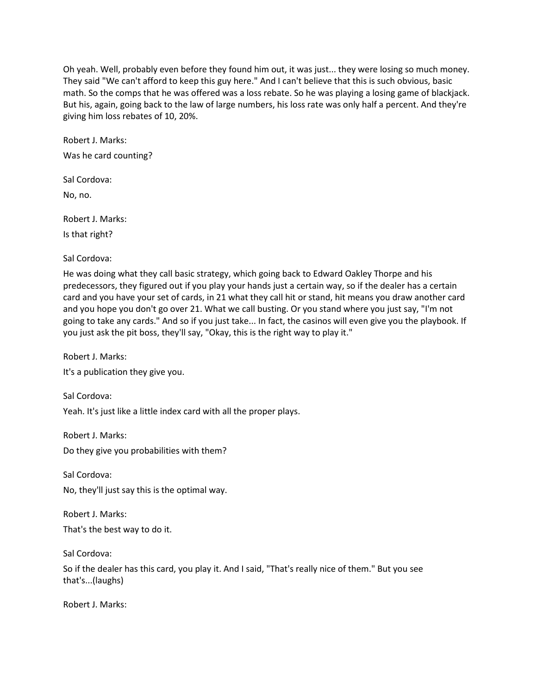Oh yeah. Well, probably even before they found him out, it was just... they were losing so much money. They said "We can't afford to keep this guy here." And I can't believe that this is such obvious, basic math. So the comps that he was offered was a loss rebate. So he was playing a losing game of blackjack. But his, again, going back to the law of large numbers, his loss rate was only half a percent. And they're giving him loss rebates of 10, 20%.

Robert J. Marks: Was he card counting?

Sal Cordova:

No, no.

Robert J. Marks: Is that right?

Sal Cordova:

He was doing what they call basic strategy, which going back to Edward Oakley Thorpe and his predecessors, they figured out if you play your hands just a certain way, so if the dealer has a certain card and you have your set of cards, in 21 what they call hit or stand, hit means you draw another card and you hope you don't go over 21. What we call busting. Or you stand where you just say, "I'm not going to take any cards." And so if you just take... In fact, the casinos will even give you the playbook. If you just ask the pit boss, they'll say, "Okay, this is the right way to play it."

Robert J. Marks: It's a publication they give you.

Sal Cordova: Yeah. It's just like a little index card with all the proper plays.

Robert J. Marks:

Do they give you probabilities with them?

Sal Cordova:

No, they'll just say this is the optimal way.

Robert J. Marks: That's the best way to do it.

Sal Cordova:

So if the dealer has this card, you play it. And I said, "That's really nice of them." But you see that's...(laughs)

Robert J. Marks: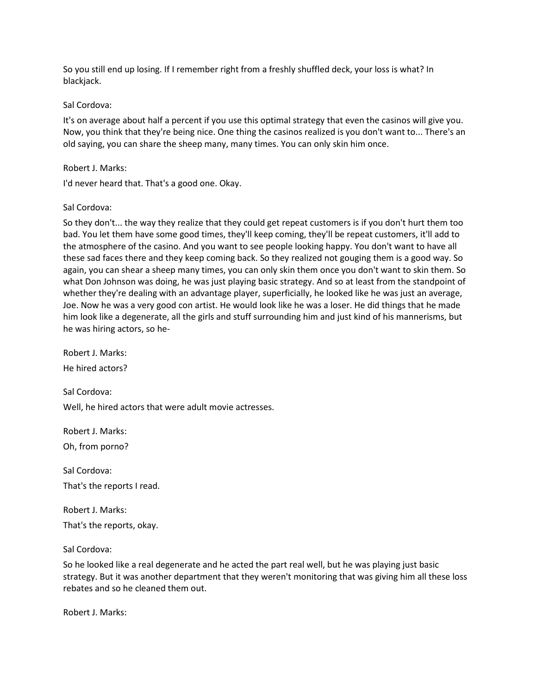So you still end up losing. If I remember right from a freshly shuffled deck, your loss is what? In blackjack.

#### Sal Cordova:

It's on average about half a percent if you use this optimal strategy that even the casinos will give you. Now, you think that they're being nice. One thing the casinos realized is you don't want to... There's an old saying, you can share the sheep many, many times. You can only skin him once.

## Robert J. Marks:

I'd never heard that. That's a good one. Okay.

## Sal Cordova:

So they don't... the way they realize that they could get repeat customers is if you don't hurt them too bad. You let them have some good times, they'll keep coming, they'll be repeat customers, it'll add to the atmosphere of the casino. And you want to see people looking happy. You don't want to have all these sad faces there and they keep coming back. So they realized not gouging them is a good way. So again, you can shear a sheep many times, you can only skin them once you don't want to skin them. So what Don Johnson was doing, he was just playing basic strategy. And so at least from the standpoint of whether they're dealing with an advantage player, superficially, he looked like he was just an average, Joe. Now he was a very good con artist. He would look like he was a loser. He did things that he made him look like a degenerate, all the girls and stuff surrounding him and just kind of his mannerisms, but he was hiring actors, so he-

Robert J. Marks: He hired actors?

Sal Cordova:

Well, he hired actors that were adult movie actresses.

Robert J. Marks: Oh, from porno?

Sal Cordova: That's the reports I read.

Robert J. Marks: That's the reports, okay.

#### Sal Cordova:

So he looked like a real degenerate and he acted the part real well, but he was playing just basic strategy. But it was another department that they weren't monitoring that was giving him all these loss rebates and so he cleaned them out.

Robert J. Marks: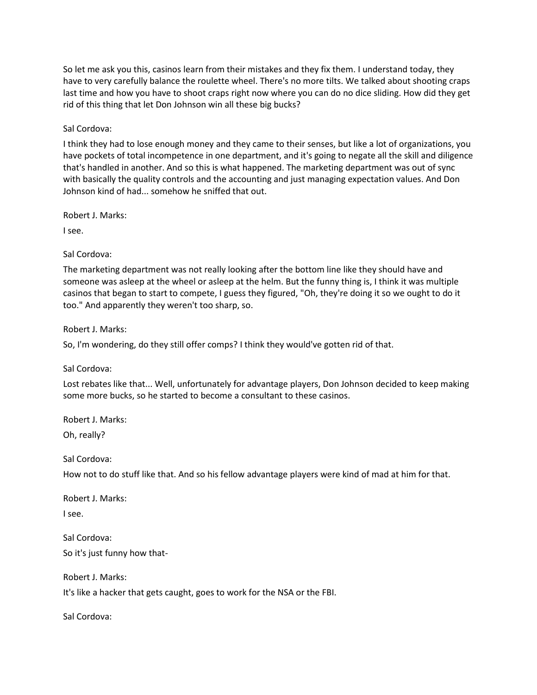So let me ask you this, casinos learn from their mistakes and they fix them. I understand today, they have to very carefully balance the roulette wheel. There's no more tilts. We talked about shooting craps last time and how you have to shoot craps right now where you can do no dice sliding. How did they get rid of this thing that let Don Johnson win all these big bucks?

Sal Cordova:

I think they had to lose enough money and they came to their senses, but like a lot of organizations, you have pockets of total incompetence in one department, and it's going to negate all the skill and diligence that's handled in another. And so this is what happened. The marketing department was out of sync with basically the quality controls and the accounting and just managing expectation values. And Don Johnson kind of had... somehow he sniffed that out.

Robert J. Marks:

I see.

Sal Cordova:

The marketing department was not really looking after the bottom line like they should have and someone was asleep at the wheel or asleep at the helm. But the funny thing is, I think it was multiple casinos that began to start to compete, I guess they figured, "Oh, they're doing it so we ought to do it too." And apparently they weren't too sharp, so.

Robert J. Marks:

So, I'm wondering, do they still offer comps? I think they would've gotten rid of that.

Sal Cordova:

Lost rebates like that... Well, unfortunately for advantage players, Don Johnson decided to keep making some more bucks, so he started to become a consultant to these casinos.

Robert J. Marks:

Oh, really?

Sal Cordova:

How not to do stuff like that. And so his fellow advantage players were kind of mad at him for that.

Robert J. Marks: I see.

Sal Cordova: So it's just funny how that-

Robert J. Marks: It's like a hacker that gets caught, goes to work for the NSA or the FBI.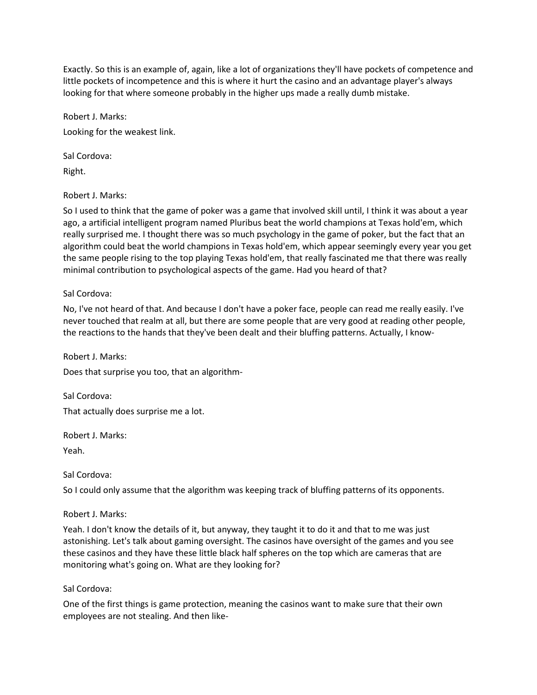Exactly. So this is an example of, again, like a lot of organizations they'll have pockets of competence and little pockets of incompetence and this is where it hurt the casino and an advantage player's always looking for that where someone probably in the higher ups made a really dumb mistake.

Robert J. Marks: Looking for the weakest link.

Sal Cordova: Right.

Robert J. Marks:

So I used to think that the game of poker was a game that involved skill until, I think it was about a year ago, a artificial intelligent program named Pluribus beat the world champions at Texas hold'em, which really surprised me. I thought there was so much psychology in the game of poker, but the fact that an algorithm could beat the world champions in Texas hold'em, which appear seemingly every year you get the same people rising to the top playing Texas hold'em, that really fascinated me that there was really minimal contribution to psychological aspects of the game. Had you heard of that?

Sal Cordova:

No, I've not heard of that. And because I don't have a poker face, people can read me really easily. I've never touched that realm at all, but there are some people that are very good at reading other people, the reactions to the hands that they've been dealt and their bluffing patterns. Actually, I know-

Robert J. Marks:

Does that surprise you too, that an algorithm-

Sal Cordova: That actually does surprise me a lot.

Robert J. Marks:

Yeah.

Sal Cordova:

So I could only assume that the algorithm was keeping track of bluffing patterns of its opponents.

Robert J. Marks:

Yeah. I don't know the details of it, but anyway, they taught it to do it and that to me was just astonishing. Let's talk about gaming oversight. The casinos have oversight of the games and you see these casinos and they have these little black half spheres on the top which are cameras that are monitoring what's going on. What are they looking for?

## Sal Cordova:

One of the first things is game protection, meaning the casinos want to make sure that their own employees are not stealing. And then like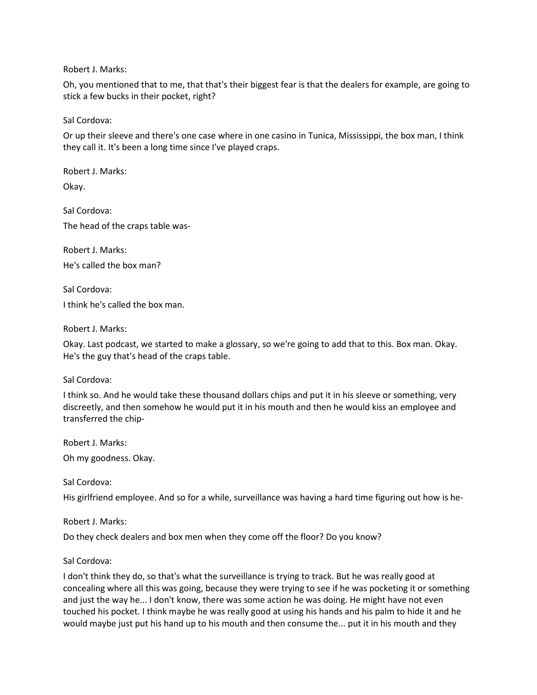Robert J. Marks:

Oh, you mentioned that to me, that that's their biggest fear is that the dealers for example, are going to stick a few bucks in their pocket, right?

Sal Cordova:

Or up their sleeve and there's one case where in one casino in Tunica, Mississippi, the box man, I think they call it. It's been a long time since I've played craps.

Robert J. Marks: Okay.

Sal Cordova:

The head of the craps table was-

Robert J. Marks: He's called the box man?

Sal Cordova: I think he's called the box man.

Robert J. Marks:

Okay. Last podcast, we started to make a glossary, so we're going to add that to this. Box man. Okay. He's the guy that's head of the craps table.

Sal Cordova:

I think so. And he would take these thousand dollars chips and put it in his sleeve or something, very discreetly, and then somehow he would put it in his mouth and then he would kiss an employee and transferred the chip-

Robert J. Marks:

Oh my goodness. Okay.

Sal Cordova:

His girlfriend employee. And so for a while, surveillance was having a hard time figuring out how is he-

Robert J. Marks:

Do they check dealers and box men when they come off the floor? Do you know?

Sal Cordova:

I don't think they do, so that's what the surveillance is trying to track. But he was really good at concealing where all this was going, because they were trying to see if he was pocketing it or something and just the way he... I don't know, there was some action he was doing. He might have not even touched his pocket. I think maybe he was really good at using his hands and his palm to hide it and he would maybe just put his hand up to his mouth and then consume the... put it in his mouth and they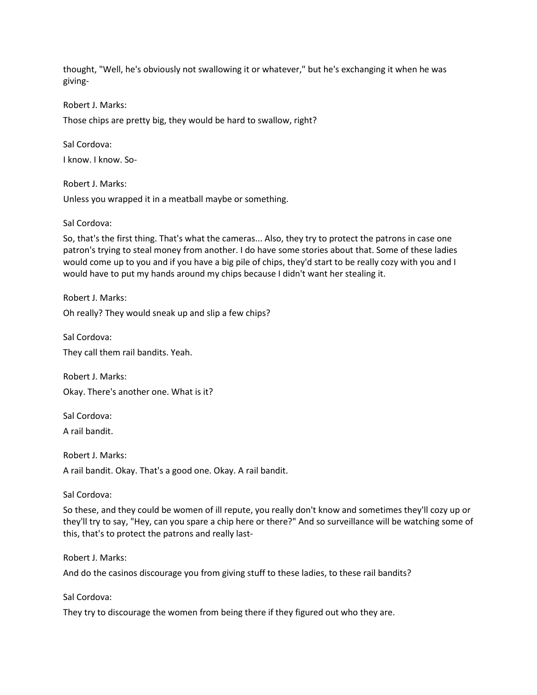thought, "Well, he's obviously not swallowing it or whatever," but he's exchanging it when he was giving-

Robert J. Marks:

Those chips are pretty big, they would be hard to swallow, right?

Sal Cordova: I know. I know. So-

Robert J. Marks: Unless you wrapped it in a meatball maybe or something.

Sal Cordova:

So, that's the first thing. That's what the cameras... Also, they try to protect the patrons in case one patron's trying to steal money from another. I do have some stories about that. Some of these ladies would come up to you and if you have a big pile of chips, they'd start to be really cozy with you and I would have to put my hands around my chips because I didn't want her stealing it.

Robert J. Marks: Oh really? They would sneak up and slip a few chips?

Sal Cordova: They call them rail bandits. Yeah.

Robert J. Marks: Okay. There's another one. What is it?

Sal Cordova:

A rail bandit.

Robert J. Marks: A rail bandit. Okay. That's a good one. Okay. A rail bandit.

Sal Cordova:

So these, and they could be women of ill repute, you really don't know and sometimes they'll cozy up or they'll try to say, "Hey, can you spare a chip here or there?" And so surveillance will be watching some of this, that's to protect the patrons and really last-

Robert J. Marks:

And do the casinos discourage you from giving stuff to these ladies, to these rail bandits?

Sal Cordova:

They try to discourage the women from being there if they figured out who they are.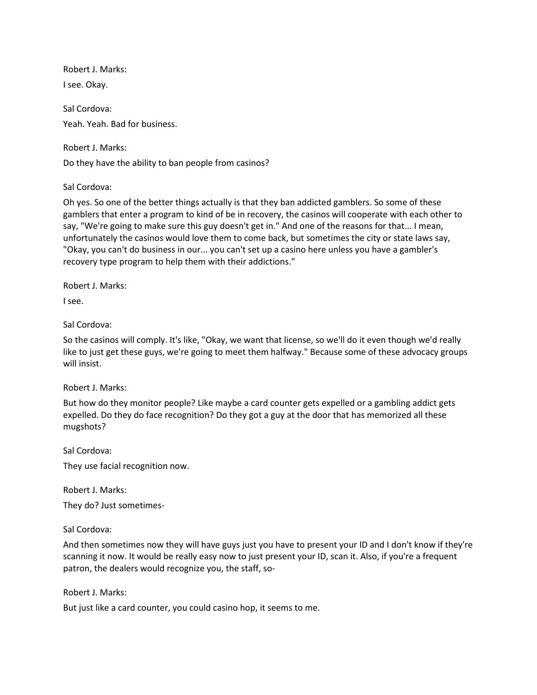Robert J. Marks: I see. Okay.

Sal Cordova: Yeah. Yeah. Bad for business.

Robert J. Marks:

Do they have the ability to ban people from casinos?

Sal Cordova:

Oh yes. So one of the better things actually is that they ban addicted gamblers. So some of these gamblers that enter a program to kind of be in recovery, the casinos will cooperate with each other to say, "We're going to make sure this guy doesn't get in." And one of the reasons for that... I mean, unfortunately the casinos would love them to come back, but sometimes the city or state laws say, "Okay, you can't do business in our... you can't set up a casino here unless you have a gambler's recovery type program to help them with their addictions."

Robert J. Marks:

I see.

Sal Cordova:

So the casinos will comply. It's like, "Okay, we want that license, so we'll do it even though we'd really like to just get these guys, we're going to meet them halfway." Because some of these advocacy groups will insist.

Robert J. Marks:

But how do they monitor people? Like maybe a card counter gets expelled or a gambling addict gets expelled. Do they do face recognition? Do they got a guy at the door that has memorized all these mugshots?

Sal Cordova: They use facial recognition now.

Robert J. Marks:

They do? Just sometimes-

Sal Cordova:

And then sometimes now they will have guys just you have to present your ID and I don't know if they're scanning it now. It would be really easy now to just present your ID, scan it. Also, if you're a frequent patron, the dealers would recognize you, the staff, so-

Robert J. Marks:

But just like a card counter, you could casino hop, it seems to me.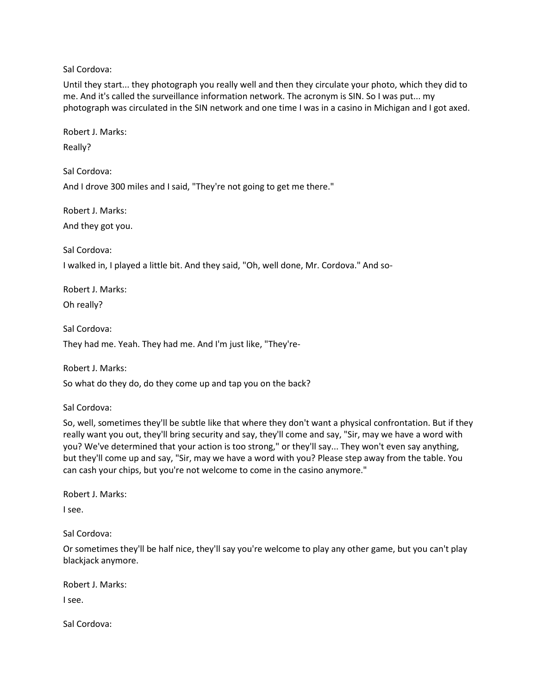Until they start... they photograph you really well and then they circulate your photo, which they did to me. And it's called the surveillance information network. The acronym is SIN. So I was put... my photograph was circulated in the SIN network and one time I was in a casino in Michigan and I got axed.

Robert J. Marks:

Really?

Sal Cordova:

And I drove 300 miles and I said, "They're not going to get me there."

Robert J. Marks:

And they got you.

Sal Cordova:

I walked in, I played a little bit. And they said, "Oh, well done, Mr. Cordova." And so-

Robert J. Marks: Oh really?

Sal Cordova:

They had me. Yeah. They had me. And I'm just like, "They're-

Robert J. Marks:

So what do they do, do they come up and tap you on the back?

Sal Cordova:

So, well, sometimes they'll be subtle like that where they don't want a physical confrontation. But if they really want you out, they'll bring security and say, they'll come and say, "Sir, may we have a word with you? We've determined that your action is too strong," or they'll say... They won't even say anything, but they'll come up and say, "Sir, may we have a word with you? Please step away from the table. You can cash your chips, but you're not welcome to come in the casino anymore."

Robert J. Marks:

I see.

Sal Cordova:

Or sometimes they'll be half nice, they'll say you're welcome to play any other game, but you can't play blackjack anymore.

Robert J. Marks:

I see.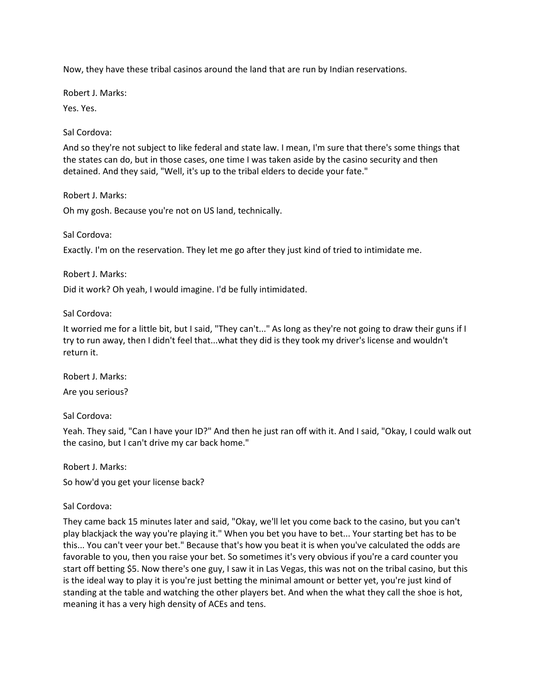Now, they have these tribal casinos around the land that are run by Indian reservations.

Robert J. Marks:

Yes. Yes.

Sal Cordova:

And so they're not subject to like federal and state law. I mean, I'm sure that there's some things that the states can do, but in those cases, one time I was taken aside by the casino security and then detained. And they said, "Well, it's up to the tribal elders to decide your fate."

Robert J. Marks:

Oh my gosh. Because you're not on US land, technically.

Sal Cordova:

Exactly. I'm on the reservation. They let me go after they just kind of tried to intimidate me.

Robert J. Marks:

Did it work? Oh yeah, I would imagine. I'd be fully intimidated.

Sal Cordova:

It worried me for a little bit, but I said, "They can't..." As long as they're not going to draw their guns if I try to run away, then I didn't feel that...what they did is they took my driver's license and wouldn't return it.

Robert J. Marks: Are you serious?

Sal Cordova:

Yeah. They said, "Can I have your ID?" And then he just ran off with it. And I said, "Okay, I could walk out the casino, but I can't drive my car back home."

Robert J. Marks:

So how'd you get your license back?

Sal Cordova:

They came back 15 minutes later and said, "Okay, we'll let you come back to the casino, but you can't play blackjack the way you're playing it." When you bet you have to bet... Your starting bet has to be this... You can't veer your bet." Because that's how you beat it is when you've calculated the odds are favorable to you, then you raise your bet. So sometimes it's very obvious if you're a card counter you start off betting \$5. Now there's one guy, I saw it in Las Vegas, this was not on the tribal casino, but this is the ideal way to play it is you're just betting the minimal amount or better yet, you're just kind of standing at the table and watching the other players bet. And when the what they call the shoe is hot, meaning it has a very high density of ACEs and tens.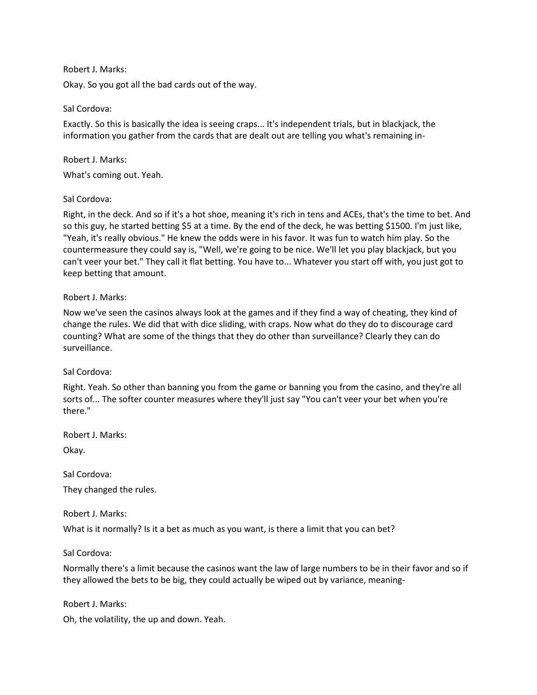## Robert J. Marks:

Okay. So you got all the bad cards out of the way.

#### Sal Cordova:

Exactly. So this is basically the idea is seeing craps... It's independent trials, but in blackjack, the information you gather from the cards that are dealt out are telling you what's remaining in-

#### Robert J. Marks:

What's coming out. Yeah.

#### Sal Cordova:

Right, in the deck. And so if it's a hot shoe, meaning it's rich in tens and ACEs, that's the time to bet. And so this guy, he started betting \$5 at a time. By the end of the deck, he was betting \$1500. I'm just like, "Yeah, it's really obvious." He knew the odds were in his favor. It was fun to watch him play. So the countermeasure they could say is, "Well, we're going to be nice. We'll let you play blackjack, but you can't veer your bet." They call it flat betting. You have to... Whatever you start off with, you just got to keep betting that amount.

#### Robert J. Marks:

Now we've seen the casinos always look at the games and if they find a way of cheating, they kind of change the rules. We did that with dice sliding, with craps. Now what do they do to discourage card counting? What are some of the things that they do other than surveillance? Clearly they can do surveillance.

## Sal Cordova:

Right. Yeah. So other than banning you from the game or banning you from the casino, and they're all sorts of... The softer counter measures where they'll just say "You can't veer your bet when you're there."

Robert J. Marks:

Okay.

Sal Cordova:

They changed the rules.

Robert J. Marks:

What is it normally? Is it a bet as much as you want, is there a limit that you can bet?

## Sal Cordova:

Normally there's a limit because the casinos want the law of large numbers to be in their favor and so if they allowed the bets to be big, they could actually be wiped out by variance, meaning-

Robert J. Marks:

Oh, the volatility, the up and down. Yeah.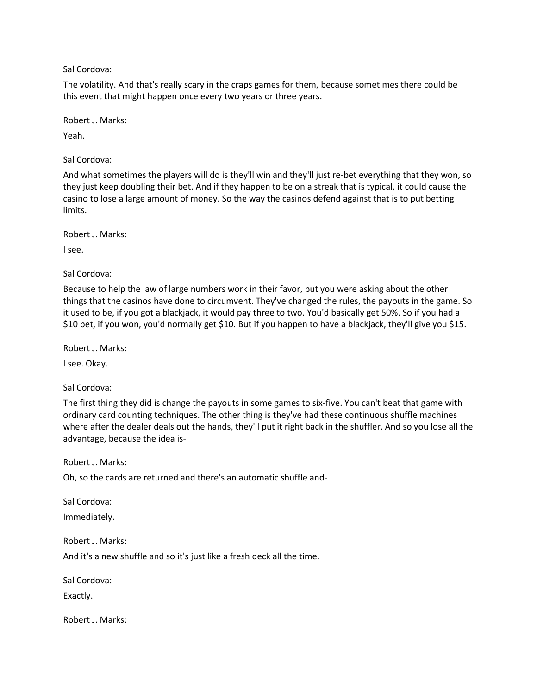The volatility. And that's really scary in the craps games for them, because sometimes there could be this event that might happen once every two years or three years.

Robert J. Marks:

Yeah.

Sal Cordova:

And what sometimes the players will do is they'll win and they'll just re-bet everything that they won, so they just keep doubling their bet. And if they happen to be on a streak that is typical, it could cause the casino to lose a large amount of money. So the way the casinos defend against that is to put betting limits.

Robert J. Marks:

I see.

Sal Cordova:

Because to help the law of large numbers work in their favor, but you were asking about the other things that the casinos have done to circumvent. They've changed the rules, the payouts in the game. So it used to be, if you got a blackjack, it would pay three to two. You'd basically get 50%. So if you had a \$10 bet, if you won, you'd normally get \$10. But if you happen to have a blackjack, they'll give you \$15.

Robert J. Marks:

I see. Okay.

Sal Cordova:

The first thing they did is change the payouts in some games to six-five. You can't beat that game with ordinary card counting techniques. The other thing is they've had these continuous shuffle machines where after the dealer deals out the hands, they'll put it right back in the shuffler. And so you lose all the advantage, because the idea is-

Robert J. Marks:

Oh, so the cards are returned and there's an automatic shuffle and-

Sal Cordova: Immediately.

Robert J. Marks:

And it's a new shuffle and so it's just like a fresh deck all the time.

Sal Cordova:

Exactly.

Robert J. Marks: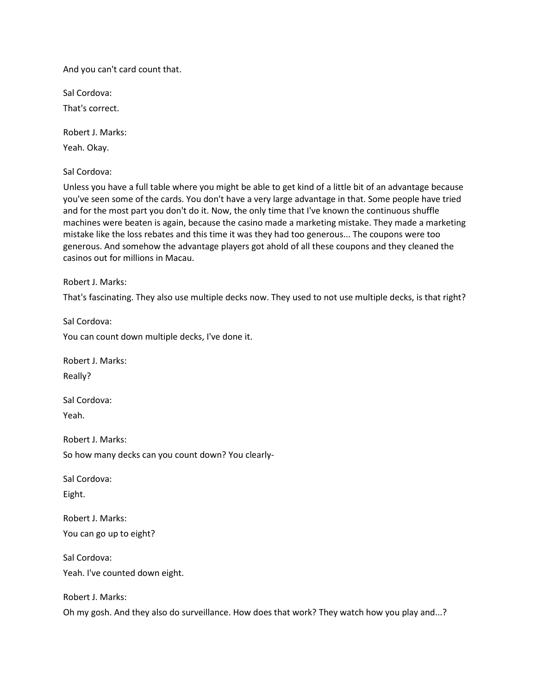And you can't card count that.

Sal Cordova:

That's correct.

Robert J. Marks: Yeah. Okay.

Sal Cordova:

Unless you have a full table where you might be able to get kind of a little bit of an advantage because you've seen some of the cards. You don't have a very large advantage in that. Some people have tried and for the most part you don't do it. Now, the only time that I've known the continuous shuffle machines were beaten is again, because the casino made a marketing mistake. They made a marketing mistake like the loss rebates and this time it was they had too generous... The coupons were too generous. And somehow the advantage players got ahold of all these coupons and they cleaned the casinos out for millions in Macau.

Robert J. Marks:

That's fascinating. They also use multiple decks now. They used to not use multiple decks, is that right?

Sal Cordova: You can count down multiple decks, I've done it.

Robert J. Marks: Really?

Sal Cordova: Yeah.

Robert J. Marks: So how many decks can you count down? You clearly-

Sal Cordova: Eight.

Robert J. Marks: You can go up to eight?

Sal Cordova: Yeah. I've counted down eight.

Robert J. Marks:

Oh my gosh. And they also do surveillance. How does that work? They watch how you play and...?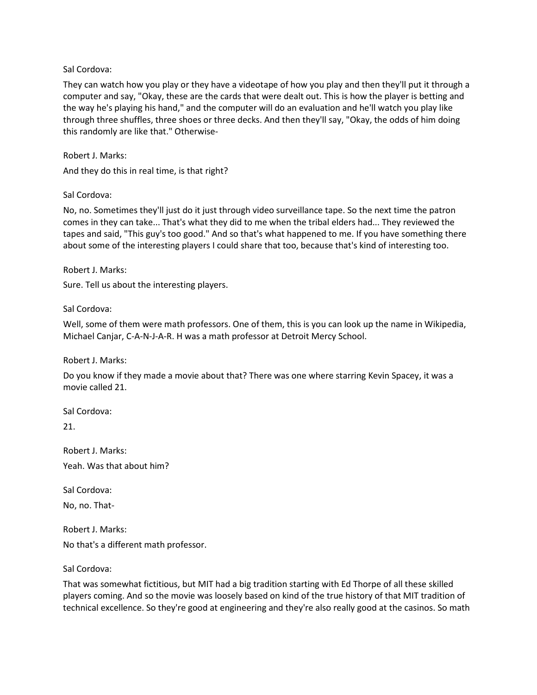They can watch how you play or they have a videotape of how you play and then they'll put it through a computer and say, "Okay, these are the cards that were dealt out. This is how the player is betting and the way he's playing his hand," and the computer will do an evaluation and he'll watch you play like through three shuffles, three shoes or three decks. And then they'll say, "Okay, the odds of him doing this randomly are like that." Otherwise-

Robert J. Marks: And they do this in real time, is that right?

#### Sal Cordova:

No, no. Sometimes they'll just do it just through video surveillance tape. So the next time the patron comes in they can take... That's what they did to me when the tribal elders had... They reviewed the tapes and said, "This guy's too good." And so that's what happened to me. If you have something there about some of the interesting players I could share that too, because that's kind of interesting too.

Robert J. Marks:

Sure. Tell us about the interesting players.

Sal Cordova:

Well, some of them were math professors. One of them, this is you can look up the name in Wikipedia, Michael Canjar, C-A-N-J-A-R. H was a math professor at Detroit Mercy School.

Robert J. Marks:

Do you know if they made a movie about that? There was one where starring Kevin Spacey, it was a movie called 21.

Sal Cordova:

21.

Robert J. Marks: Yeah. Was that about him?

Sal Cordova:

No, no. That-

Robert J. Marks: No that's a different math professor.

Sal Cordova:

That was somewhat fictitious, but MIT had a big tradition starting with Ed Thorpe of all these skilled players coming. And so the movie was loosely based on kind of the true history of that MIT tradition of technical excellence. So they're good at engineering and they're also really good at the casinos. So math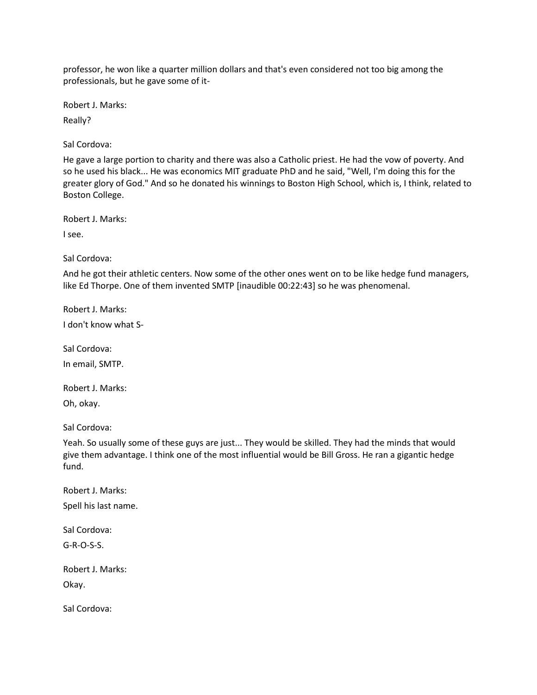professor, he won like a quarter million dollars and that's even considered not too big among the professionals, but he gave some of it-

Robert J. Marks:

Really?

Sal Cordova:

He gave a large portion to charity and there was also a Catholic priest. He had the vow of poverty. And so he used his black... He was economics MIT graduate PhD and he said, "Well, I'm doing this for the greater glory of God." And so he donated his winnings to Boston High School, which is, I think, related to Boston College.

Robert J. Marks:

I see.

Sal Cordova:

And he got their athletic centers. Now some of the other ones went on to be like hedge fund managers, like Ed Thorpe. One of them invented SMTP [inaudible 00:22:43] so he was phenomenal.

Robert J. Marks: I don't know what S-

Sal Cordova: In email, SMTP.

Robert J. Marks: Oh, okay.

Sal Cordova:

Yeah. So usually some of these guys are just... They would be skilled. They had the minds that would give them advantage. I think one of the most influential would be Bill Gross. He ran a gigantic hedge fund.

Robert J. Marks: Spell his last name.

Sal Cordova:

G-R-O-S-S.

Robert J. Marks: Okay.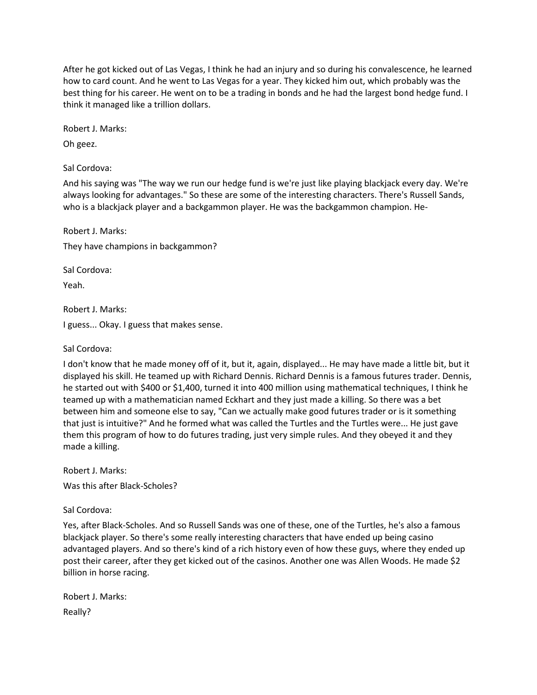After he got kicked out of Las Vegas, I think he had an injury and so during his convalescence, he learned how to card count. And he went to Las Vegas for a year. They kicked him out, which probably was the best thing for his career. He went on to be a trading in bonds and he had the largest bond hedge fund. I think it managed like a trillion dollars.

Robert J. Marks:

Oh geez.

Sal Cordova:

And his saying was "The way we run our hedge fund is we're just like playing blackjack every day. We're always looking for advantages." So these are some of the interesting characters. There's Russell Sands, who is a blackjack player and a backgammon player. He was the backgammon champion. He-

Robert J. Marks: They have champions in backgammon?

Sal Cordova:

Yeah.

Robert J. Marks:

I guess... Okay. I guess that makes sense.

Sal Cordova:

I don't know that he made money off of it, but it, again, displayed... He may have made a little bit, but it displayed his skill. He teamed up with Richard Dennis. Richard Dennis is a famous futures trader. Dennis, he started out with \$400 or \$1,400, turned it into 400 million using mathematical techniques, I think he teamed up with a mathematician named Eckhart and they just made a killing. So there was a bet between him and someone else to say, "Can we actually make good futures trader or is it something that just is intuitive?" And he formed what was called the Turtles and the Turtles were... He just gave them this program of how to do futures trading, just very simple rules. And they obeyed it and they made a killing.

Robert J. Marks:

Was this after Black-Scholes?

Sal Cordova:

Yes, after Black-Scholes. And so Russell Sands was one of these, one of the Turtles, he's also a famous blackjack player. So there's some really interesting characters that have ended up being casino advantaged players. And so there's kind of a rich history even of how these guys, where they ended up post their career, after they get kicked out of the casinos. Another one was Allen Woods. He made \$2 billion in horse racing.

Robert J. Marks: Really?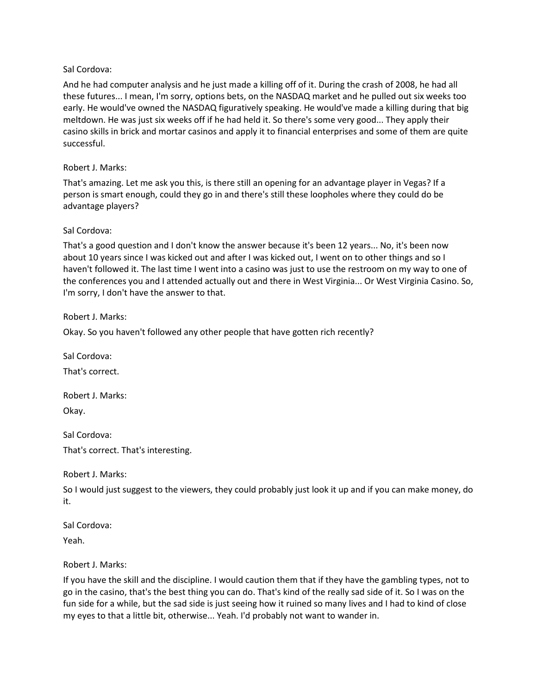And he had computer analysis and he just made a killing off of it. During the crash of 2008, he had all these futures... I mean, I'm sorry, options bets, on the NASDAQ market and he pulled out six weeks too early. He would've owned the NASDAQ figuratively speaking. He would've made a killing during that big meltdown. He was just six weeks off if he had held it. So there's some very good... They apply their casino skills in brick and mortar casinos and apply it to financial enterprises and some of them are quite successful.

## Robert J. Marks:

That's amazing. Let me ask you this, is there still an opening for an advantage player in Vegas? If a person is smart enough, could they go in and there's still these loopholes where they could do be advantage players?

## Sal Cordova:

That's a good question and I don't know the answer because it's been 12 years... No, it's been now about 10 years since I was kicked out and after I was kicked out, I went on to other things and so I haven't followed it. The last time I went into a casino was just to use the restroom on my way to one of the conferences you and I attended actually out and there in West Virginia... Or West Virginia Casino. So, I'm sorry, I don't have the answer to that.

Robert J. Marks:

Okay. So you haven't followed any other people that have gotten rich recently?

Sal Cordova:

That's correct.

Robert J. Marks: Okay.

Sal Cordova: That's correct. That's interesting.

Robert J. Marks:

So I would just suggest to the viewers, they could probably just look it up and if you can make money, do it.

Sal Cordova: Yeah.

Robert J. Marks:

If you have the skill and the discipline. I would caution them that if they have the gambling types, not to go in the casino, that's the best thing you can do. That's kind of the really sad side of it. So I was on the fun side for a while, but the sad side is just seeing how it ruined so many lives and I had to kind of close my eyes to that a little bit, otherwise... Yeah. I'd probably not want to wander in.